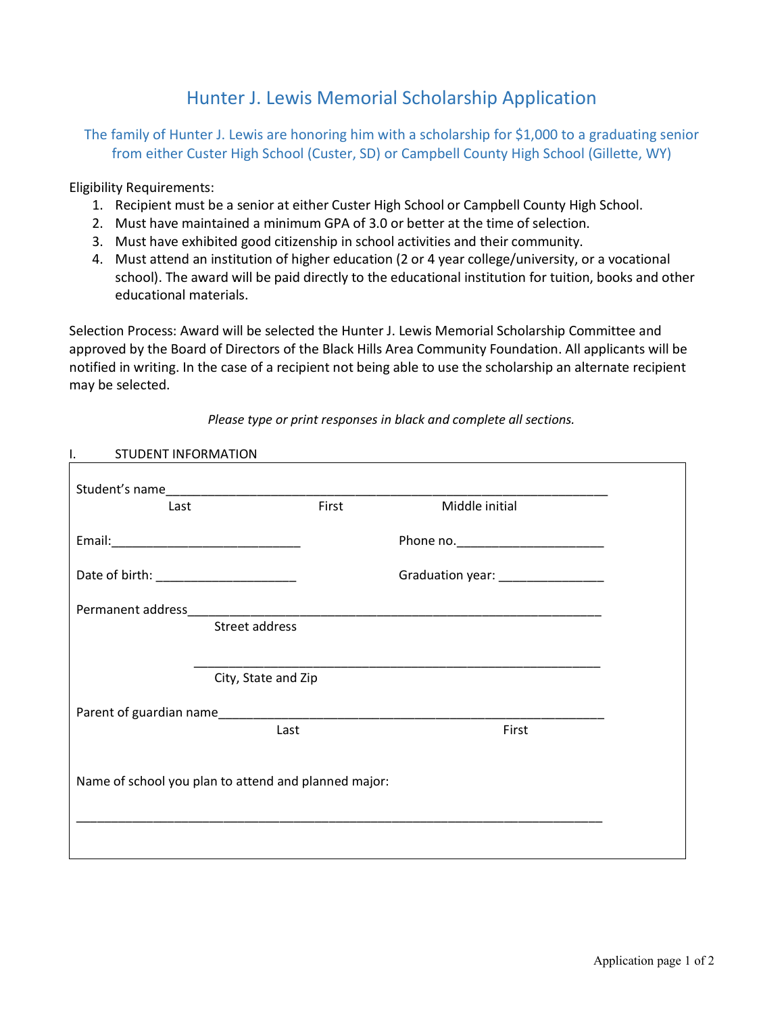## Hunter J. Lewis Memorial Scholarship Application

## The family of Hunter J. Lewis are honoring him with a scholarship for \$1,000 to a graduating senior from either Custer High School (Custer, SD) or Campbell County High School (Gillette, WY)

Eligibility Requirements:

- 1. Recipient must be a senior at either Custer High School or Campbell County High School.
- 2. Must have maintained a minimum GPA of 3.0 or better at the time of selection.
- 3. Must have exhibited good citizenship in school activities and their community.
- 4. Must attend an institution of higher education (2 or 4 year college/university, or a vocational school). The award will be paid directly to the educational institution for tuition, books and other educational materials.

Selection Process: Award will be selected the Hunter J. Lewis Memorial Scholarship Committee and approved by the Board of Directors of the Black Hills Area Community Foundation. All applicants will be notified in writing. In the case of a recipient not being able to use the scholarship an alternate recipient may be selected.

## *Please type or print responses in black and complete all sections.*

| I.<br><b>STUDENT INFORMATION</b>                     |                     |       |                                    |  |
|------------------------------------------------------|---------------------|-------|------------------------------------|--|
|                                                      |                     |       |                                    |  |
| Last                                                 |                     | First | Middle initial                     |  |
|                                                      |                     |       |                                    |  |
|                                                      |                     |       | Graduation year: _________________ |  |
|                                                      |                     |       |                                    |  |
|                                                      | Street address      |       |                                    |  |
|                                                      |                     |       |                                    |  |
|                                                      | City, State and Zip |       |                                    |  |
|                                                      |                     |       |                                    |  |
|                                                      | Last                |       | First                              |  |
| Name of school you plan to attend and planned major: |                     |       |                                    |  |
|                                                      |                     |       |                                    |  |